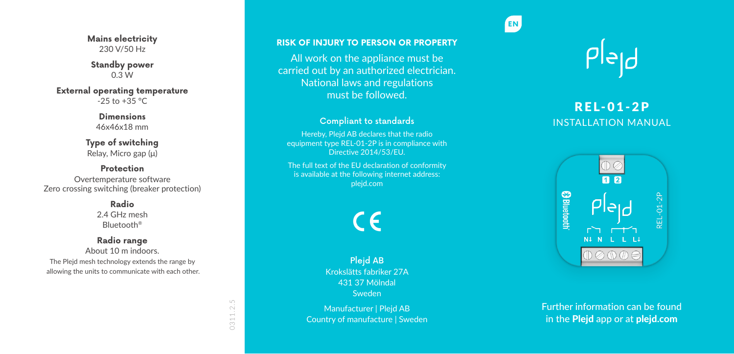**Mains electricity** 230 V/50 Hz

**Standby power** 0.3 W

**External operating temperature**  $-25$  to  $+35$  °C

> **Dimensions** 46x46x18 mm

**Type of switching** Relay, Micro gap (μ)

**Protection** Overtemperature software Zero crossing switching (breaker protection)

> **Radio** 2.4 GHz mesh Bluetooth ®

**Radio range** About 10 m indoors.

The Plejd mesh technology extends the range by allowing the units to communicate with each other.

All work on the appliance must be carried out by an authorized electrician. National laws and regulations must be followed.

### Compliant to standards

Hereby, Plejd AB declares that the radio equipment type REL-01-2P is in compliance with Directive 2014/53/EU.

The full text of the EU declaration of conformity is available at the following internet address: plejd.com

C E

Plejd AB Krokslätts fabriker 27A 431 37 Mölndal Sweden

Manufacturer | Plejd AB Country of manufacture | Sweden



**EN**

# REL-01-2P INSTALLATION MANUAL



Further information can be found in the Plejd app or at plejd.com